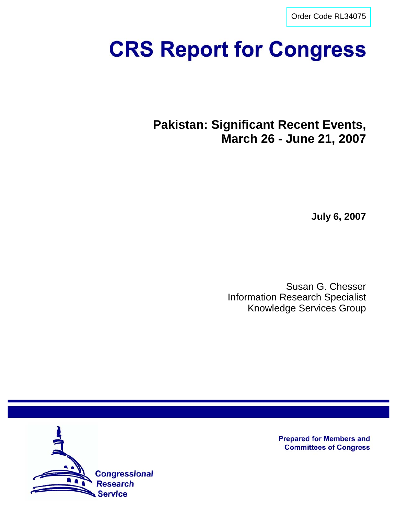[Order Code RL34075](http://www.fas.org/sgp/crs/row/index.html)

# **CRS Report for Congress**

**Pakistan: Significant Recent Events, March 26 - June 21, 2007**

**July 6, 2007**

Susan G. Chesser Information Research Specialist Knowledge Services Group



**Prepared for Members and Committees of Congress**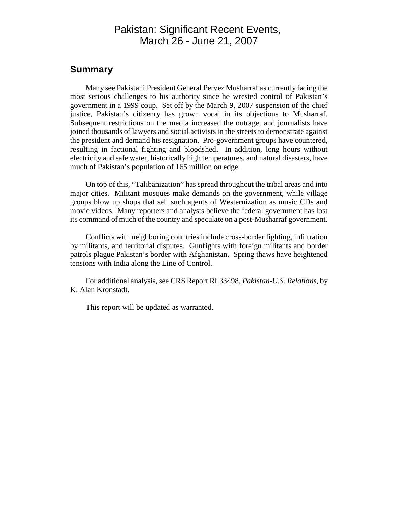# Pakistan: Significant Recent Events, March 26 - June 21, 2007

## **Summary**

Many see Pakistani President General Pervez Musharraf as currently facing the most serious challenges to his authority since he wrested control of Pakistan's government in a 1999 coup. Set off by the March 9, 2007 suspension of the chief justice, Pakistan's citizenry has grown vocal in its objections to Musharraf. Subsequent restrictions on the media increased the outrage, and journalists have joined thousands of lawyers and social activists in the streets to demonstrate against the president and demand his resignation. Pro-government groups have countered, resulting in factional fighting and bloodshed. In addition, long hours without electricity and safe water, historically high temperatures, and natural disasters, have much of Pakistan's population of 165 million on edge.

On top of this, "Talibanization" has spread throughout the tribal areas and into major cities. Militant mosques make demands on the government, while village groups blow up shops that sell such agents of Westernization as music CDs and movie videos. Many reporters and analysts believe the federal government has lost its command of much of the country and speculate on a post-Musharraf government.

Conflicts with neighboring countries include cross-border fighting, infiltration by militants, and territorial disputes. Gunfights with foreign militants and border patrols plague Pakistan's border with Afghanistan. Spring thaws have heightened tensions with India along the Line of Control.

For additional analysis, see CRS Report RL33498, *Pakistan-U.S. Relations*, by K. Alan Kronstadt.

This report will be updated as warranted.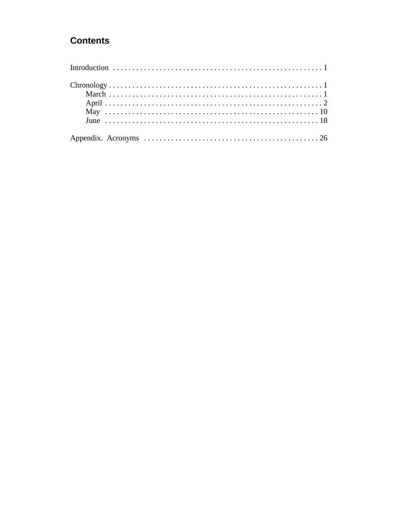# **Contents**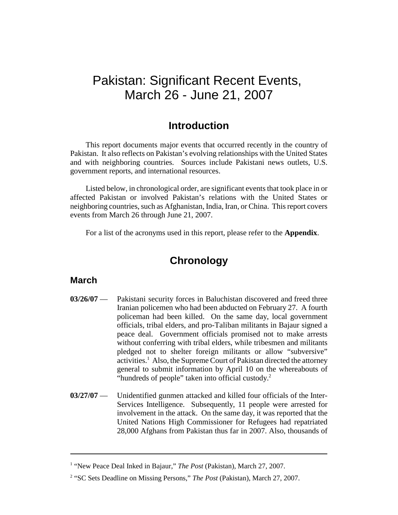# Pakistan: Significant Recent Events, March 26 - June 21, 2007

# **Introduction**

This report documents major events that occurred recently in the country of Pakistan. It also reflects on Pakistan's evolving relationships with the United States and with neighboring countries. Sources include Pakistani news outlets, U.S. government reports, and international resources.

Listed below, in chronological order, are significant events that took place in or affected Pakistan or involved Pakistan's relations with the United States or neighboring countries, such as Afghanistan, India, Iran, or China. This report covers events from March 26 through June 21, 2007.

For a list of the acronyms used in this report, please refer to the **Appendix**.

# **Chronology**

#### **March**

- **03/26/07** Pakistani security forces in Baluchistan discovered and freed three Iranian policemen who had been abducted on February 27. A fourth policeman had been killed. On the same day, local government officials, tribal elders, and pro-Taliban militants in Bajaur signed a peace deal. Government officials promised not to make arrests without conferring with tribal elders, while tribesmen and militants pledged not to shelter foreign militants or allow "subversive" activities.<sup>1</sup> Also, the Supreme Court of Pakistan directed the attorney general to submit information by April 10 on the whereabouts of "hundreds of people" taken into official custody.<sup>2</sup>
- **03/27/07** Unidentified gunmen attacked and killed four officials of the Inter-Services Intelligence. Subsequently, 11 people were arrested for involvement in the attack. On the same day, it was reported that the United Nations High Commissioner for Refugees had repatriated 28,000 Afghans from Pakistan thus far in 2007. Also, thousands of

<sup>&</sup>lt;sup>1</sup> "New Peace Deal Inked in Bajaur," *The Post* (Pakistan), March 27, 2007.

<sup>&</sup>lt;sup>2</sup> "SC Sets Deadline on Missing Persons," *The Post* (Pakistan), March 27, 2007.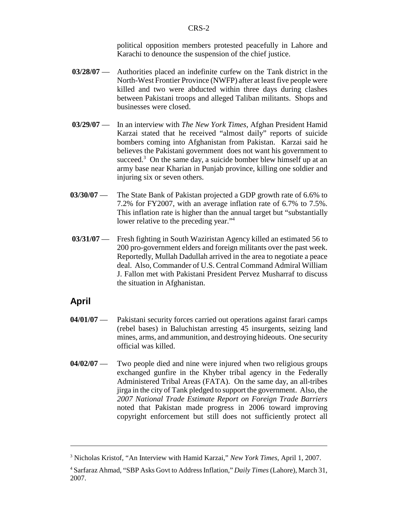political opposition members protested peacefully in Lahore and Karachi to denounce the suspension of the chief justice.

- **03/28/07** Authorities placed an indefinite curfew on the Tank district in the North-West Frontier Province (NWFP) after at least five people were killed and two were abducted within three days during clashes between Pakistani troops and alleged Taliban militants. Shops and businesses were closed.
- **03/29/07** In an interview with *The New York Times*, Afghan President Hamid Karzai stated that he received "almost daily" reports of suicide bombers coming into Afghanistan from Pakistan. Karzai said he believes the Pakistani government does not want his government to succeed. $3$  On the same day, a suicide bomber blew himself up at an army base near Kharian in Punjab province, killing one soldier and injuring six or seven others.
- **03/30/07** The State Bank of Pakistan projected a GDP growth rate of 6.6% to 7.2% for FY2007, with an average inflation rate of 6.7% to 7.5%. This inflation rate is higher than the annual target but "substantially lower relative to the preceding year."<sup>4</sup>
- **03/31/07** Fresh fighting in South Waziristan Agency killed an estimated 56 to 200 pro-government elders and foreign militants over the past week. Reportedly, Mullah Dadullah arrived in the area to negotiate a peace deal. Also, Commander of U.S. Central Command Admiral William J. Fallon met with Pakistani President Pervez Musharraf to discuss the situation in Afghanistan.

## **April**

- **04/01/07** Pakistani security forces carried out operations against farari camps (rebel bases) in Baluchistan arresting 45 insurgents, seizing land mines, arms, and ammunition, and destroying hideouts. One security official was killed.
- **04/02/07** Two people died and nine were injured when two religious groups exchanged gunfire in the Khyber tribal agency in the Federally Administered Tribal Areas (FATA). On the same day, an all-tribes jirga in the city of Tank pledged to support the government. Also, the *2007 National Trade Estimate Report on Foreign Trade Barriers* noted that Pakistan made progress in 2006 toward improving copyright enforcement but still does not sufficiently protect all

<sup>3</sup> Nicholas Kristof, "An Interview with Hamid Karzai," *New York Times*, April 1, 2007.

<sup>4</sup> Sarfaraz Ahmad, "SBP Asks Govt to Address Inflation," *Daily Times* (Lahore), March 31, 2007.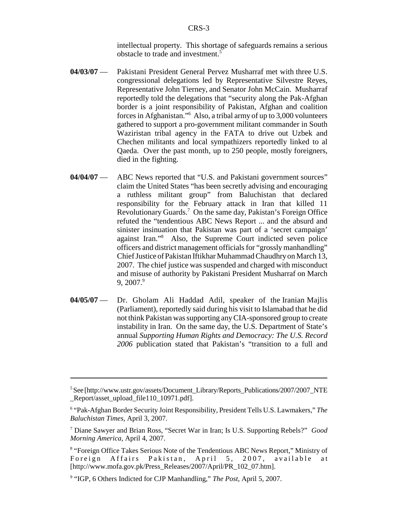intellectual property. This shortage of safeguards remains a serious obstacle to trade and investment.5

- **04/03/07** Pakistani President General Pervez Musharraf met with three U.S. congressional delegations led by Representative Silvestre Reyes, Representative John Tierney, and Senator John McCain. Musharraf reportedly told the delegations that "security along the Pak-Afghan border is a joint responsibility of Pakistan, Afghan and coalition forces in Afghanistan."6 Also, a tribal army of up to 3,000 volunteers gathered to support a pro-government militant commander in South Waziristan tribal agency in the FATA to drive out Uzbek and Chechen militants and local sympathizers reportedly linked to al Qaeda. Over the past month, up to 250 people, mostly foreigners, died in the fighting.
- **04/04/07** ABC News reported that "U.S. and Pakistani government sources" claim the United States "has been secretly advising and encouraging a ruthless militant group" from Baluchistan that declared responsibility for the February attack in Iran that killed 11 Revolutionary Guards.<sup>7</sup> On the same day, Pakistan's Foreign Office refuted the "tendentious ABC News Report ... and the absurd and sinister insinuation that Pakistan was part of a 'secret campaign' against Iran."8 Also, the Supreme Court indicted seven police officers and district management officials for "grossly manhandling" Chief Justice of Pakistan Iftikhar Muhammad Chaudhry on March 13, 2007. The chief justice was suspended and charged with misconduct and misuse of authority by Pakistani President Musharraf on March  $9, 2007.<sup>9</sup>$
- **04/05/07** Dr. Gholam Ali Haddad Adil, speaker of the Iranian Majlis (Parliament), reportedly said during his visit to Islamabad that he did not think Pakistan was supporting any CIA-sponsored group to create instability in Iran. On the same day, the U.S. Department of State's annual *Supporting Human Rights and Democracy: The U.S. Record 2006* publication stated that Pakistan's "transition to a full and

<sup>&</sup>lt;sup>5</sup>See [http://www.ustr.gov/assets/Document\_Library/Reports\_Publications/2007/2007\_NTE Report/asset\_upload\_file110\_10971.pdf].

<sup>6</sup> "Pak-Afghan Border Security Joint Responsibility, President Tells U.S. Lawmakers," *The Baluchistan Times*, April 3, 2007.

<sup>7</sup> Diane Sawyer and Brian Ross, "Secret War in Iran; Is U.S. Supporting Rebels?" *Good Morning America*, April 4, 2007.

<sup>&</sup>lt;sup>8</sup> "Foreign Office Takes Serious Note of the Tendentious ABC News Report," Ministry of Foreign Affairs Pakistan, April 5, 2007, available at [http://www.mofa.gov.pk/Press\_Releases/2007/April/PR\_102\_07.htm].

<sup>&</sup>lt;sup>9</sup> "IGP, 6 Others Indicted for CJP Manhandling," The Post, April 5, 2007.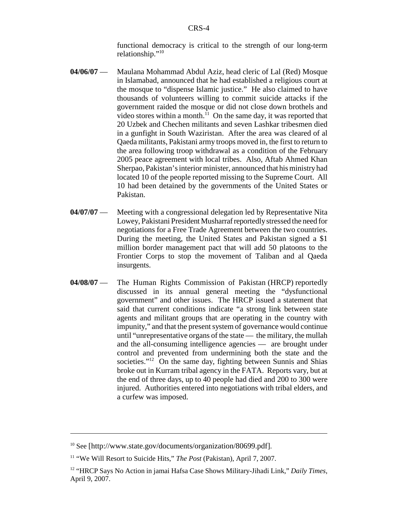functional democracy is critical to the strength of our long-term relationship."10

- **04/06/07** Maulana Mohammad Abdul Aziz, head cleric of Lal (Red) Mosque in Islamabad, announced that he had established a religious court at the mosque to "dispense Islamic justice." He also claimed to have thousands of volunteers willing to commit suicide attacks if the government raided the mosque or did not close down brothels and video stores within a month. $^{11}$  On the same day, it was reported that 20 Uzbek and Chechen militants and seven Lashkar tribesmen died in a gunfight in South Waziristan. After the area was cleared of al Qaeda militants, Pakistani army troops moved in, the first to return to the area following troop withdrawal as a condition of the February 2005 peace agreement with local tribes. Also, Aftab Ahmed Khan Sherpao, Pakistan's interior minister, announced that his ministry had located 10 of the people reported missing to the Supreme Court. All 10 had been detained by the governments of the United States or Pakistan.
- **04/07/07** Meeting with a congressional delegation led by Representative Nita Lowey, Pakistani President Musharraf reportedly stressed the need for negotiations for a Free Trade Agreement between the two countries. During the meeting, the United States and Pakistan signed a \$1 million border management pact that will add 50 platoons to the Frontier Corps to stop the movement of Taliban and al Qaeda insurgents.
- **04/08/07** The Human Rights Commission of Pakistan (HRCP) reportedly discussed in its annual general meeting the "dysfunctional government" and other issues. The HRCP issued a statement that said that current conditions indicate "a strong link between state agents and militant groups that are operating in the country with impunity," and that the present system of governance would continue until "unrepresentative organs of the state — the military, the mullah and the all-consuming intelligence agencies — are brought under control and prevented from undermining both the state and the societies."<sup>12</sup> On the same day, fighting between Sunnis and Shias broke out in Kurram tribal agency in the FATA. Reports vary, but at the end of three days, up to 40 people had died and 200 to 300 were injured. Authorities entered into negotiations with tribal elders, and a curfew was imposed.

<sup>&</sup>lt;sup>10</sup> See [http://www.state.gov/documents/organization/80699.pdf].

<sup>11 &</sup>quot;We Will Resort to Suicide Hits," *The Post* (Pakistan), April 7, 2007.

<sup>12 &</sup>quot;HRCP Says No Action in jamai Hafsa Case Shows Military-Jihadi Link," *Daily Times*, April 9, 2007.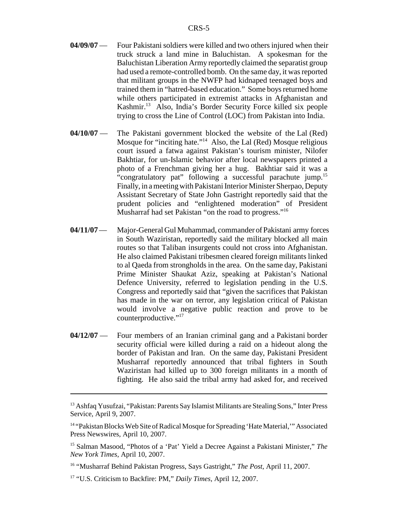- **04/09/07** Four Pakistani soldiers were killed and two others injured when their truck struck a land mine in Baluchistan. A spokesman for the Baluchistan Liberation Army reportedly claimed the separatist group had used a remote-controlled bomb. On the same day, it was reported that militant groups in the NWFP had kidnaped teenaged boys and trained them in "hatred-based education." Some boys returned home while others participated in extremist attacks in Afghanistan and Kashmir.13 Also, India's Border Security Force killed six people trying to cross the Line of Control (LOC) from Pakistan into India.
- **04/10/07** The Pakistani government blocked the website of the Lal (Red) Mosque for "inciting hate."14 Also, the Lal (Red) Mosque religious court issued a fatwa against Pakistan's tourism minister, Nilofer Bakhtiar, for un-Islamic behavior after local newspapers printed a photo of a Frenchman giving her a hug. Bakhtiar said it was a "congratulatory pat" following a successful parachute jump.<sup>15</sup> Finally, in a meeting with Pakistani Interior Minister Sherpao, Deputy Assistant Secretary of State John Gastright reportedly said that the prudent policies and "enlightened moderation" of President Musharraf had set Pakistan "on the road to progress."<sup>16</sup>
- **04/11/07** Major-General Gul Muhammad, commander of Pakistani army forces in South Waziristan, reportedly said the military blocked all main routes so that Taliban insurgents could not cross into Afghanistan. He also claimed Pakistani tribesmen cleared foreign militants linked to al Qaeda from strongholds in the area. On the same day, Pakistani Prime Minister Shaukat Aziz, speaking at Pakistan's National Defence University, referred to legislation pending in the U.S. Congress and reportedly said that "given the sacrifices that Pakistan has made in the war on terror, any legislation critical of Pakistan would involve a negative public reaction and prove to be counterproductive."<sup>17</sup>
- **04/12/07** Four members of an Iranian criminal gang and a Pakistani border security official were killed during a raid on a hideout along the border of Pakistan and Iran. On the same day, Pakistani President Musharraf reportedly announced that tribal fighters in South Waziristan had killed up to 300 foreign militants in a month of fighting. He also said the tribal army had asked for, and received

<sup>&</sup>lt;sup>13</sup> Ashfaq Yusufzai, "Pakistan: Parents Say Islamist Militants are Stealing Sons," Inter Press Service, April 9, 2007.

<sup>&</sup>lt;sup>14</sup> "Pakistan Blocks Web Site of Radical Mosque for Spreading 'Hate Material,'" Associated Press Newswires, April 10, 2007.

<sup>15</sup> Salman Masood, "Photos of a 'Pat' Yield a Decree Against a Pakistani Minister," *The New York Times*, April 10, 2007.

<sup>16 &</sup>quot;Musharraf Behind Pakistan Progress, Says Gastright," *The Post*, April 11, 2007.

<sup>17 &</sup>quot;U.S. Criticism to Backfire: PM," *Daily Times*, April 12, 2007.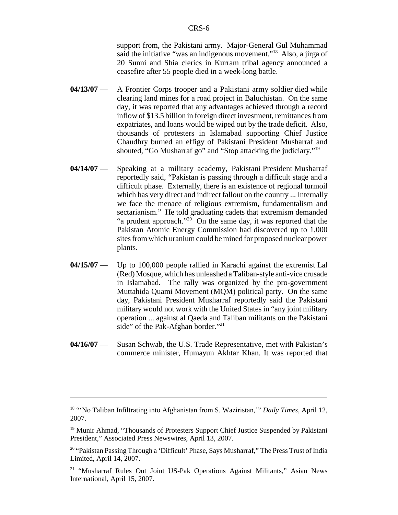support from, the Pakistani army. Major-General Gul Muhammad said the initiative "was an indigenous movement."18 Also, a jirga of 20 Sunni and Shia clerics in Kurram tribal agency announced a ceasefire after 55 people died in a week-long battle.

- **04/13/07** A Frontier Corps trooper and a Pakistani army soldier died while clearing land mines for a road project in Baluchistan. On the same day, it was reported that any advantages achieved through a record inflow of \$13.5 billion in foreign direct investment, remittances from expatriates, and loans would be wiped out by the trade deficit. Also, thousands of protesters in Islamabad supporting Chief Justice Chaudhry burned an effigy of Pakistani President Musharraf and shouted, "Go Musharraf go" and "Stop attacking the judiciary."19
- **04/14/07** Speaking at a military academy, Pakistani President Musharraf reportedly said, "Pakistan is passing through a difficult stage and a difficult phase. Externally, there is an existence of regional turmoil which has very direct and indirect fallout on the country ... Internally we face the menace of religious extremism, fundamentalism and sectarianism." He told graduating cadets that extremism demanded "a prudent approach." $20^{\circ}$  On the same day, it was reported that the Pakistan Atomic Energy Commission had discovered up to 1,000 sites from which uranium could be mined for proposed nuclear power plants.
- **04/15/07** Up to 100,000 people rallied in Karachi against the extremist Lal (Red) Mosque, which has unleashed a Taliban-style anti-vice crusade in Islamabad. The rally was organized by the pro-government Muttahida Quami Movement (MQM) political party. On the same day, Pakistani President Musharraf reportedly said the Pakistani military would not work with the United States in "any joint military operation ... against al Qaeda and Taliban militants on the Pakistani side" of the Pak-Afghan border."<sup>21</sup>
- **04/16/07** Susan Schwab, the U.S. Trade Representative, met with Pakistan's commerce minister, Humayun Akhtar Khan. It was reported that

<sup>18 &</sup>quot;'No Taliban Infiltrating into Afghanistan from S. Waziristan,'" *Daily Times*, April 12, 2007.

<sup>&</sup>lt;sup>19</sup> Munir Ahmad, "Thousands of Protesters Support Chief Justice Suspended by Pakistani President," Associated Press Newswires, April 13, 2007.

<sup>&</sup>lt;sup>20</sup> "Pakistan Passing Through a 'Difficult' Phase, Says Musharraf," The Press Trust of India Limited, April 14, 2007.

<sup>&</sup>lt;sup>21</sup> "Musharraf Rules Out Joint US-Pak Operations Against Militants," Asian News International, April 15, 2007.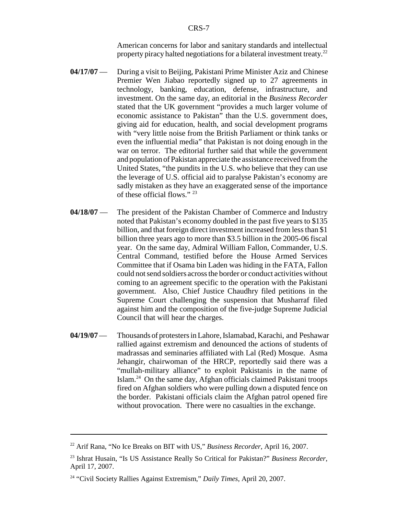American concerns for labor and sanitary standards and intellectual property piracy halted negotiations for a bilateral investment treaty.22

- **04/17/07** During a visit to Beijing, Pakistani Prime Minister Aziz and Chinese Premier Wen Jiabao reportedly signed up to 27 agreements in technology, banking, education, defense, infrastructure, and investment. On the same day, an editorial in the *Business Recorder* stated that the UK government "provides a much larger volume of economic assistance to Pakistan" than the U.S. government does, giving aid for education, health, and social development programs with "very little noise from the British Parliament or think tanks or even the influential media" that Pakistan is not doing enough in the war on terror. The editorial further said that while the government and population of Pakistan appreciate the assistance received from the United States, "the pundits in the U.S. who believe that they can use the leverage of U.S. official aid to paralyse Pakistan's economy are sadly mistaken as they have an exaggerated sense of the importance of these official flows." 23
- **04/18/07** The president of the Pakistan Chamber of Commerce and Industry noted that Pakistan's economy doubled in the past five years to \$135 billion, and that foreign direct investment increased from less than \$1 billion three years ago to more than \$3.5 billion in the 2005-06 fiscal year. On the same day, Admiral William Fallon, Commander, U.S. Central Command, testified before the House Armed Services Committee that if Osama bin Laden was hiding in the FATA, Fallon could not send soldiers across the border or conduct activities without coming to an agreement specific to the operation with the Pakistani government. Also, Chief Justice Chaudhry filed petitions in the Supreme Court challenging the suspension that Musharraf filed against him and the composition of the five-judge Supreme Judicial Council that will hear the charges.
- **04/19/07** Thousands of protesters in Lahore, Islamabad, Karachi, and Peshawar rallied against extremism and denounced the actions of students of madrassas and seminaries affiliated with Lal (Red) Mosque. Asma Jehangir, chairwoman of the HRCP, reportedly said there was a "mullah-military alliance" to exploit Pakistanis in the name of Islam.24 On the same day, Afghan officials claimed Pakistani troops fired on Afghan soldiers who were pulling down a disputed fence on the border. Pakistani officials claim the Afghan patrol opened fire without provocation. There were no casualties in the exchange.

<sup>22</sup> Arif Rana, "No Ice Breaks on BIT with US," *Business Recorder*, April 16, 2007.

<sup>23</sup> Ishrat Husain, "Is US Assistance Really So Critical for Pakistan?" *Business Recorder*, April 17, 2007.

<sup>24 &</sup>quot;Civil Society Rallies Against Extremism," *Daily Times*, April 20, 2007.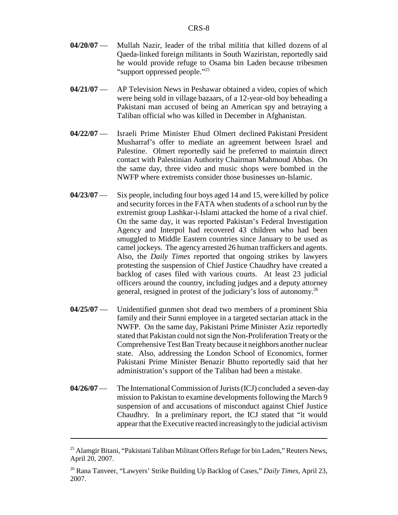- **04/20/07** Mullah Nazir, leader of the tribal militia that killed dozens of al Qaeda-linked foreign militants in South Waziristan, reportedly said he would provide refuge to Osama bin Laden because tribesmen "support oppressed people."25
- **04/21/07** AP Television News in Peshawar obtained a video, copies of which were being sold in village bazaars, of a 12-year-old boy beheading a Pakistani man accused of being an American spy and betraying a Taliban official who was killed in December in Afghanistan.
- **04/22/07** Israeli Prime Minister Ehud Olmert declined Pakistani President Musharraf's offer to mediate an agreement between Israel and Palestine. Olmert reportedly said he preferred to maintain direct contact with Palestinian Authority Chairman Mahmoud Abbas. On the same day, three video and music shops were bombed in the NWFP where extremists consider those businesses un-Islamic.
- **04/23/07** Six people, including four boys aged 14 and 15, were killed by police and security forces in the FATA when students of a school run by the extremist group Lashkar-i-Islami attacked the home of a rival chief. On the same day, it was reported Pakistan's Federal Investigation Agency and Interpol had recovered 43 children who had been smuggled to Middle Eastern countries since January to be used as camel jockeys. The agency arrested 26 human traffickers and agents. Also, the *Daily Times* reported that ongoing strikes by lawyers protesting the suspension of Chief Justice Chaudhry have created a backlog of cases filed with various courts. At least 23 judicial officers around the country, including judges and a deputy attorney general, resigned in protest of the judiciary's loss of autonomy.26
- **04/25/07** Unidentified gunmen shot dead two members of a prominent Shia family and their Sunni employee in a targeted sectarian attack in the NWFP. On the same day, Pakistani Prime Minister Aziz reportedly stated that Pakistan could not sign the Non-Proliferation Treaty or the Comprehensive Test Ban Treaty because it neighbors another nuclear state. Also, addressing the London School of Economics, former Pakistani Prime Minister Benazir Bhutto reportedly said that her administration's support of the Taliban had been a mistake.
- **04/26/07** The International Commission of Jurists (ICJ) concluded a seven-day mission to Pakistan to examine developments following the March 9 suspension of and accusations of misconduct against Chief Justice Chaudhry. In a preliminary report, the ICJ stated that "it would appear that the Executive reacted increasingly to the judicial activism

<sup>&</sup>lt;sup>25</sup> Alamgir Bitani, "Pakistani Taliban Militant Offers Refuge for bin Laden," Reuters News, April 20, 2007.

<sup>26</sup> Rana Tanveer, "Lawyers' Strike Building Up Backlog of Cases," *Daily Times*, April 23, 2007.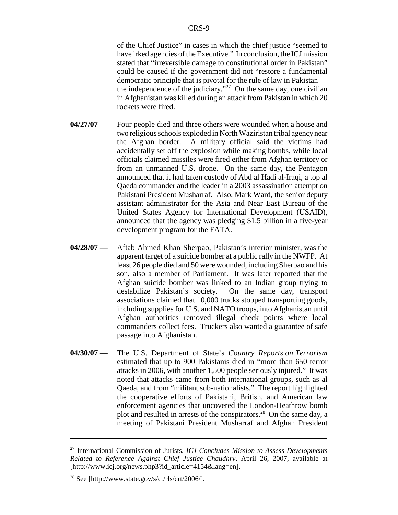of the Chief Justice" in cases in which the chief justice "seemed to have irked agencies of the Executive." In conclusion, the ICJ mission stated that "irreversible damage to constitutional order in Pakistan" could be caused if the government did not "restore a fundamental democratic principle that is pivotal for the rule of law in Pakistan the independence of the judiciary."<sup>27</sup> On the same day, one civilian in Afghanistan was killed during an attack from Pakistan in which 20 rockets were fired.

- **04/27/07** Four people died and three others were wounded when a house and two religious schools exploded in North Waziristan tribal agency near the Afghan border. A military official said the victims had accidentally set off the explosion while making bombs, while local officials claimed missiles were fired either from Afghan territory or from an unmanned U.S. drone. On the same day, the Pentagon announced that it had taken custody of Abd al Hadi al-Iraqi, a top al Qaeda commander and the leader in a 2003 assassination attempt on Pakistani President Musharraf. Also, Mark Ward, the senior deputy assistant administrator for the Asia and Near East Bureau of the United States Agency for International Development (USAID), announced that the agency was pledging \$1.5 billion in a five-year development program for the FATA.
- **04/28/07** Aftab Ahmed Khan Sherpao, Pakistan's interior minister, was the apparent target of a suicide bomber at a public rally in the NWFP. At least 26 people died and 50 were wounded, including Sherpao and his son, also a member of Parliament. It was later reported that the Afghan suicide bomber was linked to an Indian group trying to destabilize Pakistan's society. On the same day, transport associations claimed that 10,000 trucks stopped transporting goods, including supplies for U.S. and NATO troops, into Afghanistan until Afghan authorities removed illegal check points where local commanders collect fees. Truckers also wanted a guarantee of safe passage into Afghanistan.
- **04/30/07** The U.S. Department of State's *Country Reports on Terrorism* estimated that up to 900 Pakistanis died in "more than 650 terror attacks in 2006, with another 1,500 people seriously injured." It was noted that attacks came from both international groups, such as al Qaeda, and from "militant sub-nationalists." The report highlighted the cooperative efforts of Pakistani, British, and American law enforcement agencies that uncovered the London-Heathrow bomb plot and resulted in arrests of the conspirators.<sup>28</sup> On the same day, a meeting of Pakistani President Musharraf and Afghan President

<sup>27</sup> International Commission of Jurists, *ICJ Concludes Mission to Assess Developments Related to Reference Against Chief Justice Chaudhry*, April 26, 2007, available at [http://www.icj.org/news.php3?id\_article=4154&lang=en].

<sup>&</sup>lt;sup>28</sup> See [http://www.state.gov/s/ct/rls/crt/2006/].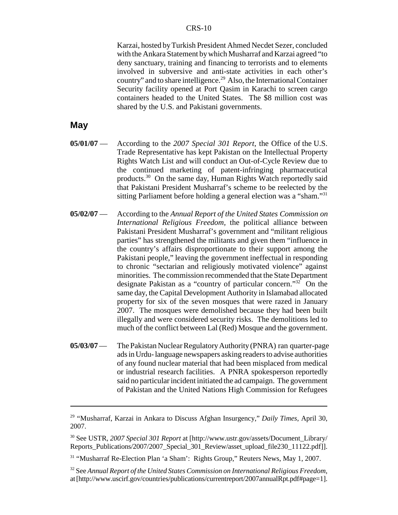Karzai, hosted by Turkish President Ahmed Necdet Sezer, concluded with the Ankara Statement by which Musharraf and Karzai agreed "to deny sanctuary, training and financing to terrorists and to elements involved in subversive and anti-state activities in each other's country" and to share intelligence.<sup>29</sup> Also, the International Container Security facility opened at Port Qasim in Karachi to screen cargo containers headed to the United States. The \$8 million cost was shared by the U.S. and Pakistani governments.

## **May**

- **05/01/07** According to the *2007 Special 301 Report*, the Office of the U.S. Trade Representative has kept Pakistan on the Intellectual Property Rights Watch List and will conduct an Out-of-Cycle Review due to the continued marketing of patent-infringing pharmaceutical products.30 On the same day, Human Rights Watch reportedly said that Pakistani President Musharraf's scheme to be reelected by the sitting Parliament before holding a general election was a "sham."<sup>31</sup>
- **05/02/07** According to the *Annual Report of the United States Commission on International Religious Freedom,* the political alliance between Pakistani President Musharraf's government and "militant religious parties" has strengthened the militants and given them "influence in the country's affairs disproportionate to their support among the Pakistani people," leaving the government ineffectual in responding to chronic "sectarian and religiously motivated violence" against minorities. The commission recommended that the State Department designate Pakistan as a "country of particular concern."32 On the same day, the Capital Development Authority in Islamabad allocated property for six of the seven mosques that were razed in January 2007. The mosques were demolished because they had been built illegally and were considered security risks. The demolitions led to much of the conflict between Lal (Red) Mosque and the government.
- **05/03/07** The Pakistan Nuclear Regulatory Authority (PNRA) ran quarter-page ads in Urdu- language newspapers asking readers to advise authorities of any found nuclear material that had been misplaced from medical or industrial research facilities. A PNRA spokesperson reportedly said no particular incident initiated the ad campaign. The government of Pakistan and the United Nations High Commission for Refugees

<sup>29 &</sup>quot;Musharraf, Karzai in Ankara to Discuss Afghan Insurgency," *Daily Times*, April 30, 2007.

<sup>30</sup> See USTR, *2007 Special 301 Report* at [http://www.ustr.gov/assets/Document\_Library/ Reports\_Publications/2007/2007\_Special\_301\_Review/asset\_upload\_file230\_11122.pdf]].

<sup>31 &</sup>quot;Musharraf Re-Election Plan 'a Sham': Rights Group," Reuters News, May 1, 2007.

<sup>32</sup> See *Annual Report of the United States Commission on International Religious Freedom*, at [http://www.uscirf.gov/countries/publications/currentreport/2007annualRpt.pdf#page=1].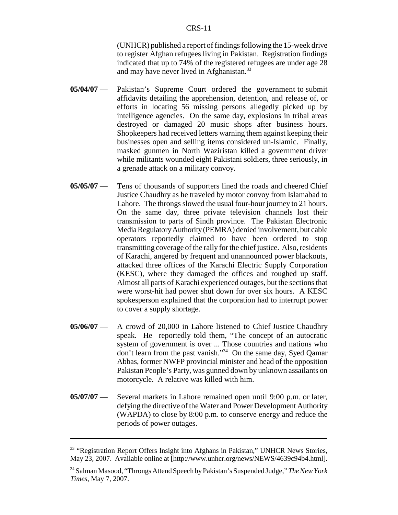(UNHCR) published a report of findings following the 15-week drive to register Afghan refugees living in Pakistan. Registration findings indicated that up to 74% of the registered refugees are under age 28 and may have never lived in Afghanistan.<sup>33</sup>

- **05/04/07** Pakistan's Supreme Court ordered the government to submit affidavits detailing the apprehension, detention, and release of, or efforts in locating 56 missing persons allegedly picked up by intelligence agencies. On the same day, explosions in tribal areas destroyed or damaged 20 music shops after business hours. Shopkeepers had received letters warning them against keeping their businesses open and selling items considered un-Islamic. Finally, masked gunmen in North Waziristan killed a government driver while militants wounded eight Pakistani soldiers, three seriously, in a grenade attack on a military convoy.
- **05/05/07** Tens of thousands of supporters lined the roads and cheered Chief Justice Chaudhry as he traveled by motor convoy from Islamabad to Lahore. The throngs slowed the usual four-hour journey to 21 hours. On the same day, three private television channels lost their transmission to parts of Sindh province. The Pakistan Electronic Media Regulatory Authority (PEMRA) denied involvement, but cable operators reportedly claimed to have been ordered to stop transmitting coverage of the rally for the chief justice. Also, residents of Karachi, angered by frequent and unannounced power blackouts, attacked three offices of the Karachi Electric Supply Corporation (KESC), where they damaged the offices and roughed up staff. Almost all parts of Karachi experienced outages, but the sections that were worst-hit had power shut down for over six hours. A KESC spokesperson explained that the corporation had to interrupt power to cover a supply shortage.
- **05/06/07** A crowd of 20,000 in Lahore listened to Chief Justice Chaudhry speak. He reportedly told them, "The concept of an autocratic system of government is over ... Those countries and nations who don't learn from the past vanish."34 On the same day, Syed Qamar Abbas, former NWFP provincial minister and head of the opposition Pakistan People's Party, was gunned down by unknown assailants on motorcycle. A relative was killed with him.
- **05/07/07** Several markets in Lahore remained open until 9:00 p.m. or later, defying the directive of the Water and Power Development Authority (WAPDA) to close by 8:00 p.m. to conserve energy and reduce the periods of power outages.

<sup>&</sup>lt;sup>33</sup> "Registration Report Offers Insight into Afghans in Pakistan," UNHCR News Stories, May 23, 2007. Available online at [http://www.unhcr.org/news/NEWS/4639c94b4.html].

<sup>34</sup> Salman Masood, "Throngs Attend Speech by Pakistan's Suspended Judge," *The New York Times*, May 7, 2007.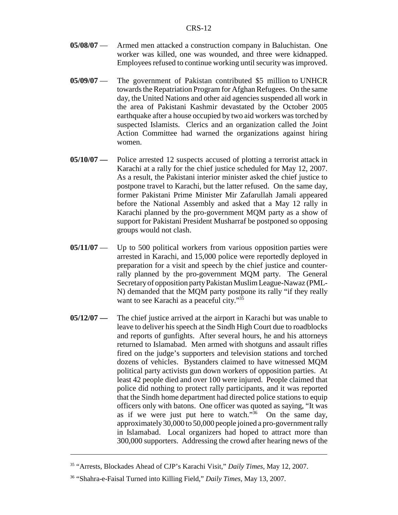- **05/08/07** Armed men attacked a construction company in Baluchistan. One worker was killed, one was wounded, and three were kidnapped. Employees refused to continue working until security was improved.
- **05/09/07** The government of Pakistan contributed \$5 million to UNHCR towards the Repatriation Program for Afghan Refugees. On the same day, the United Nations and other aid agencies suspended all work in the area of Pakistani Kashmir devastated by the October 2005 earthquake after a house occupied by two aid workers was torched by suspected Islamists. Clerics and an organization called the Joint Action Committee had warned the organizations against hiring women.
- **05/10/07** Police arrested 12 suspects accused of plotting a terrorist attack in Karachi at a rally for the chief justice scheduled for May 12, 2007. As a result, the Pakistani interior minister asked the chief justice to postpone travel to Karachi, but the latter refused. On the same day, former Pakistani Prime Minister Mir Zafarullah Jamali appeared before the National Assembly and asked that a May 12 rally in Karachi planned by the pro-government MQM party as a show of support for Pakistani President Musharraf be postponed so opposing groups would not clash.
- **05/11/07** Up to 500 political workers from various opposition parties were arrested in Karachi, and 15,000 police were reportedly deployed in preparation for a visit and speech by the chief justice and counterrally planned by the pro-government MQM party. The General Secretary of opposition party Pakistan Muslim League-Nawaz (PML-N) demanded that the MQM party postpone its rally "if they really want to see Karachi as a peaceful city."<sup>35</sup>
- **05/12/07** The chief justice arrived at the airport in Karachi but was unable to leave to deliver his speech at the Sindh High Court due to roadblocks and reports of gunfights. After several hours, he and his attorneys returned to Islamabad. Men armed with shotguns and assault rifles fired on the judge's supporters and television stations and torched dozens of vehicles. Bystanders claimed to have witnessed MQM political party activists gun down workers of opposition parties. At least 42 people died and over 100 were injured. People claimed that police did nothing to protect rally participants, and it was reported that the Sindh home department had directed police stations to equip officers only with batons. One officer was quoted as saying, "It was as if we were just put here to watch. $\frac{36}{100}$  On the same day, approximately 30,000 to 50,000 people joined a pro-government rally in Islamabad. Local organizers had hoped to attract more than 300,000 supporters. Addressing the crowd after hearing news of the

<sup>35 &</sup>quot;Arrests, Blockades Ahead of CJP's Karachi Visit," *Daily Times*, May 12, 2007.

<sup>36 &</sup>quot;Shahra-e-Faisal Turned into Killing Field," *Daily Times*, May 13, 2007.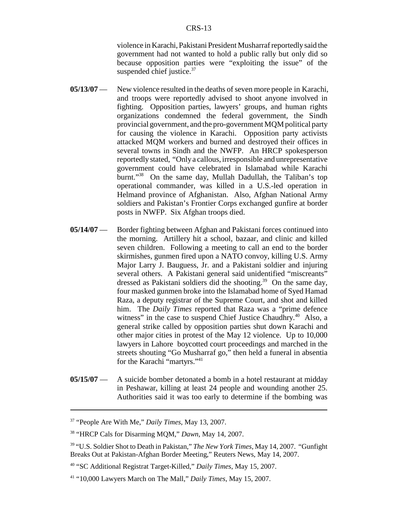violence in Karachi, Pakistani President Musharraf reportedly said the government had not wanted to hold a public rally but only did so because opposition parties were "exploiting the issue" of the suspended chief justice.<sup>37</sup>

- **05/13/07** New violence resulted in the deaths of seven more people in Karachi, and troops were reportedly advised to shoot anyone involved in fighting. Opposition parties, lawyers' groups, and human rights organizations condemned the federal government, the Sindh provincial government, and the pro-government MQM political party for causing the violence in Karachi. Opposition party activists attacked MQM workers and burned and destroyed their offices in several towns in Sindh and the NWFP. An HRCP spokesperson reportedly stated, "Only a callous, irresponsible and unrepresentative government could have celebrated in Islamabad while Karachi burnt."38 On the same day, Mullah Dadullah, the Taliban's top operational commander, was killed in a U.S.-led operation in Helmand province of Afghanistan. Also, Afghan National Army soldiers and Pakistan's Frontier Corps exchanged gunfire at border posts in NWFP. Six Afghan troops died.
- **05/14/07** Border fighting between Afghan and Pakistani forces continued into the morning. Artillery hit a school, bazaar, and clinic and killed seven children. Following a meeting to call an end to the border skirmishes, gunmen fired upon a NATO convoy, killing U.S. Army Major Larry J. Bauguess, Jr. and a Pakistani soldier and injuring several others. A Pakistani general said unidentified "miscreants" dressed as Pakistani soldiers did the shooting.<sup>39</sup> On the same day, four masked gunmen broke into the Islamabad home of Syed Hamad Raza, a deputy registrar of the Supreme Court, and shot and killed him. The *Daily Times* reported that Raza was a "prime defence witness" in the case to suspend Chief Justice Chaudhry.<sup>40</sup> Also, a general strike called by opposition parties shut down Karachi and other major cities in protest of the May 12 violence. Up to 10,000 lawyers in Lahore boycotted court proceedings and marched in the streets shouting "Go Musharraf go," then held a funeral in absentia for the Karachi "martyrs."41
- **05/15/07** A suicide bomber detonated a bomb in a hotel restaurant at midday in Peshawar, killing at least 24 people and wounding another 25. Authorities said it was too early to determine if the bombing was

<sup>37 &</sup>quot;People Are With Me," *Daily Times*, May 13, 2007.

<sup>38 &</sup>quot;HRCP Cals for Disarming MQM," *Dawn*, May 14, 2007.

<sup>39 &</sup>quot;U.S. Soldier Shot to Death in Pakistan," *The New York Times*, May 14, 2007. "Gunfight Breaks Out at Pakistan-Afghan Border Meeting," Reuters News, May 14, 2007.

<sup>40 &</sup>quot;SC Additional Registrat Target-Killed," *Daily Times*, May 15, 2007.

<sup>41 &</sup>quot;10,000 Lawyers March on The Mall," *Daily Times*, May 15, 2007.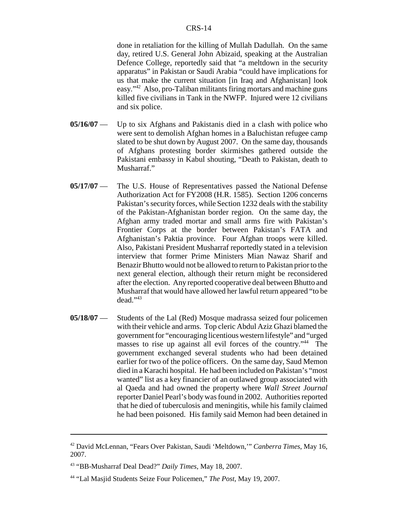done in retaliation for the killing of Mullah Dadullah. On the same day, retired U.S. General John Abizaid, speaking at the Australian Defence College, reportedly said that "a meltdown in the security apparatus" in Pakistan or Saudi Arabia "could have implications for us that make the current situation [in Iraq and Afghanistan] look easy."42 Also, pro-Taliban militants firing mortars and machine guns killed five civilians in Tank in the NWFP. Injured were 12 civilians and six police.

- **05/16/07** Up to six Afghans and Pakistanis died in a clash with police who were sent to demolish Afghan homes in a Baluchistan refugee camp slated to be shut down by August 2007. On the same day, thousands of Afghans protesting border skirmishes gathered outside the Pakistani embassy in Kabul shouting, "Death to Pakistan, death to Musharraf."
- **05/17/07** The U.S. House of Representatives passed the National Defense Authorization Act for FY2008 (H.R. 1585). Section 1206 concerns Pakistan's security forces, while Section 1232 deals with the stability of the Pakistan-Afghanistan border region. On the same day, the Afghan army traded mortar and small arms fire with Pakistan's Frontier Corps at the border between Pakistan's FATA and Afghanistan's Paktia province. Four Afghan troops were killed. Also, Pakistani President Musharraf reportedly stated in a television interview that former Prime Ministers Mian Nawaz Sharif and Benazir Bhutto would not be allowed to return to Pakistan prior to the next general election, although their return might be reconsidered after the election. Any reported cooperative deal between Bhutto and Musharraf that would have allowed her lawful return appeared "to be dead."43
- **05/18/07** Students of the Lal (Red) Mosque madrassa seized four policemen with their vehicle and arms. Top cleric Abdul Aziz Ghazi blamed the government for "encouraging licentious western lifestyle" and "urged masses to rise up against all evil forces of the country."<sup>44</sup> The government exchanged several students who had been detained earlier for two of the police officers. On the same day, Saud Memon died in a Karachi hospital. He had been included on Pakistan's "most wanted" list as a key financier of an outlawed group associated with al Qaeda and had owned the property where *Wall Street Journal* reporter Daniel Pearl's body was found in 2002. Authorities reported that he died of tuberculosis and meningitis, while his family claimed he had been poisoned. His family said Memon had been detained in

<sup>42</sup> David McLennan, "Fears Over Pakistan, Saudi 'Meltdown,'" *Canberra Times*, May 16, 2007.

<sup>43 &</sup>quot;BB-Musharraf Deal Dead?" *Daily Times*, May 18, 2007.

<sup>44 &</sup>quot;Lal Masjid Students Seize Four Policemen," *The Post*, May 19, 2007.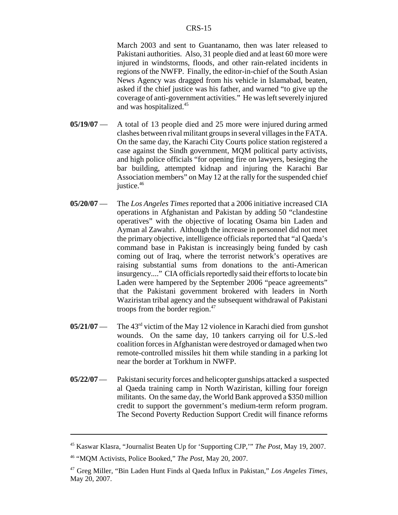March 2003 and sent to Guantanamo, then was later released to Pakistani authorities. Also, 31 people died and at least 60 more were injured in windstorms, floods, and other rain-related incidents in regions of the NWFP. Finally, the editor-in-chief of the South Asian News Agency was dragged from his vehicle in Islamabad, beaten, asked if the chief justice was his father, and warned "to give up the coverage of anti-government activities." He was left severely injured and was hospitalized.<sup>45</sup>

- **05/19/07** A total of 13 people died and 25 more were injured during armed clashes between rival militant groups in several villages in the FATA. On the same day, the Karachi City Courts police station registered a case against the Sindh government, MQM political party activists, and high police officials "for opening fire on lawyers, besieging the bar building, attempted kidnap and injuring the Karachi Bar Association members" on May 12 at the rally for the suspended chief justice.<sup>46</sup>
- **05/20/07** The *Los Angeles Times* reported that a 2006 initiative increased CIA operations in Afghanistan and Pakistan by adding 50 "clandestine operatives" with the objective of locating Osama bin Laden and Ayman al Zawahri. Although the increase in personnel did not meet the primary objective, intelligence officials reported that "al Qaeda's command base in Pakistan is increasingly being funded by cash coming out of Iraq, where the terrorist network's operatives are raising substantial sums from donations to the anti-American insurgency...." CIA officials reportedly said their efforts to locate bin Laden were hampered by the September 2006 "peace agreements" that the Pakistani government brokered with leaders in North Waziristan tribal agency and the subsequent withdrawal of Pakistani troops from the border region.<sup>47</sup>
- **05/21/07** The 43<sup>rd</sup> victim of the May 12 violence in Karachi died from gunshot wounds. On the same day, 10 tankers carrying oil for U.S.-led coalition forces in Afghanistan were destroyed or damaged when two remote-controlled missiles hit them while standing in a parking lot near the border at Torkhum in NWFP.
- **05/22/07** Pakistani security forces and helicopter gunships attacked a suspected al Qaeda training camp in North Waziristan, killing four foreign militants. On the same day, the World Bank approved a \$350 million credit to support the government's medium-term reform program. The Second Poverty Reduction Support Credit will finance reforms

<sup>45</sup> Kaswar Klasra, "Journalist Beaten Up for 'Supporting CJP,'" *The Post*, May 19, 2007.

<sup>46 &</sup>quot;MQM Activists, Police Booked," *The Post*, May 20, 2007.

<sup>47</sup> Greg Miller, "Bin Laden Hunt Finds al Qaeda Influx in Pakistan," *Los Angeles Times*, May 20, 2007.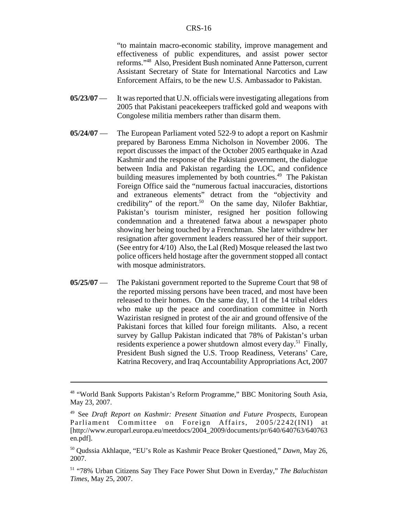"to maintain macro-economic stability, improve management and effectiveness of public expenditures, and assist power sector reforms."48 Also, President Bush nominated Anne Patterson, current Assistant Secretary of State for International Narcotics and Law Enforcement Affairs, to be the new U.S. Ambassador to Pakistan.

- **05/23/07** It was reported that U.N. officials were investigating allegations from 2005 that Pakistani peacekeepers trafficked gold and weapons with Congolese militia members rather than disarm them.
- **05/24/07** The European Parliament voted 522-9 to adopt a report on Kashmir prepared by Baroness Emma Nicholson in November 2006. The report discusses the impact of the October 2005 earthquake in Azad Kashmir and the response of the Pakistani government, the dialogue between India and Pakistan regarding the LOC, and confidence building measures implemented by both countries.<sup>49</sup> The Pakistan Foreign Office said the "numerous factual inaccuracies, distortions and extraneous elements" detract from the "objectivity and credibility" of the report.<sup>50</sup> On the same day, Nilofer Bakhtiar, Pakistan's tourism minister, resigned her position following condemnation and a threatened fatwa about a newspaper photo showing her being touched by a Frenchman. She later withdrew her resignation after government leaders reassured her of their support. (See entry for 4/10) Also, the Lal (Red) Mosque released the last two police officers held hostage after the government stopped all contact with mosque administrators.
- **05/25/07** The Pakistani government reported to the Supreme Court that 98 of the reported missing persons have been traced, and most have been released to their homes. On the same day, 11 of the 14 tribal elders who make up the peace and coordination committee in North Waziristan resigned in protest of the air and ground offensive of the Pakistani forces that killed four foreign militants. Also, a recent survey by Gallup Pakistan indicated that 78% of Pakistan's urban residents experience a power shutdown almost every day.<sup>51</sup> Finally, President Bush signed the U.S. Troop Readiness, Veterans' Care, Katrina Recovery, and Iraq Accountability Appropriations Act, 2007

<sup>48 &</sup>quot;World Bank Supports Pakistan's Reform Programme," BBC Monitoring South Asia, May 23, 2007.

<sup>49</sup> See *Draft Report on Kashmir: Present Situation and Future Prospects*, European Parliament Committee on Foreign Affairs, 2005/2242(INI) at [http://www.europarl.europa.eu/meetdocs/2004\_2009/documents/pr/640/640763/640763 en.pdf].

<sup>50</sup> Qudssia Akhlaque, "EU's Role as Kashmir Peace Broker Questioned," *Dawn*, May 26, 2007.

<sup>51 &</sup>quot;78% Urban Citizens Say They Face Power Shut Down in Everday," *The Baluchistan Times*, May 25, 2007.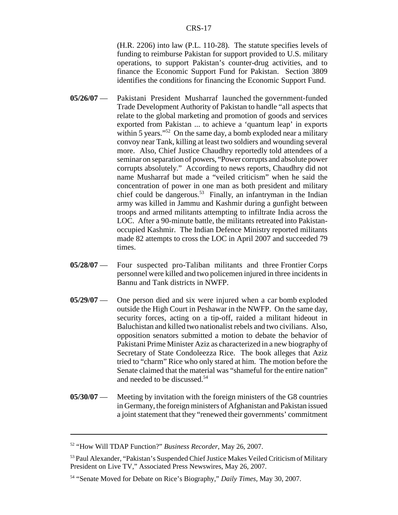(H.R. 2206) into law (P.L. 110-28). The statute specifies levels of funding to reimburse Pakistan for support provided to U.S. military operations, to support Pakistan's counter-drug activities, and to finance the Economic Support Fund for Pakistan. Section 3809 identifies the conditions for financing the Economic Support Fund.

- **05/26/07** Pakistani President Musharraf launched the government-funded Trade Development Authority of Pakistan to handle "all aspects that relate to the global marketing and promotion of goods and services exported from Pakistan ... to achieve a 'quantum leap' in exports within 5 years."<sup>52</sup> On the same day, a bomb exploded near a military convoy near Tank, killing at least two soldiers and wounding several more. Also, Chief Justice Chaudhry reportedly told attendees of a seminar on separation of powers, "Power corrupts and absolute power corrupts absolutely." According to news reports, Chaudhry did not name Musharraf but made a "veiled criticism" when he said the concentration of power in one man as both president and military chief could be dangerous.<sup>53</sup> Finally, an infantryman in the Indian army was killed in Jammu and Kashmir during a gunfight between troops and armed militants attempting to infiltrate India across the LOC. After a 90-minute battle, the militants retreated into Pakistanoccupied Kashmir. The Indian Defence Ministry reported militants made 82 attempts to cross the LOC in April 2007 and succeeded 79 times.
- **05/28/07** Four suspected pro-Taliban militants and three Frontier Corps personnel were killed and two policemen injured in three incidents in Bannu and Tank districts in NWFP.
- **05/29/07** One person died and six were injured when a car bomb exploded outside the High Court in Peshawar in the NWFP. On the same day, security forces, acting on a tip-off, raided a militant hideout in Baluchistan and killed two nationalist rebels and two civilians. Also, opposition senators submitted a motion to debate the behavior of Pakistani Prime Minister Aziz as characterized in a new biography of Secretary of State Condoleezza Rice. The book alleges that Aziz tried to "charm" Rice who only stared at him. The motion before the Senate claimed that the material was "shameful for the entire nation" and needed to be discussed.54
- **05/30/07** Meeting by invitation with the foreign ministers of the G8 countries in Germany, the foreign ministers of Afghanistan and Pakistan issued a joint statement that they "renewed their governments' commitment

<sup>52 &</sup>quot;How Will TDAP Function?" *Business Recorder*, May 26, 2007.

<sup>&</sup>lt;sup>53</sup> Paul Alexander, "Pakistan's Suspended Chief Justice Makes Veiled Criticism of Military President on Live TV," Associated Press Newswires, May 26, 2007.

<sup>54 &</sup>quot;Senate Moved for Debate on Rice's Biography," *Daily Times*, May 30, 2007.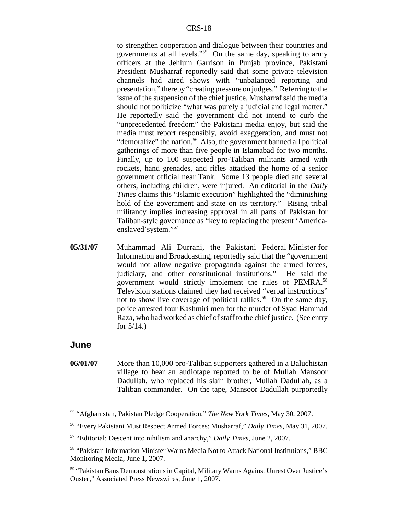to strengthen cooperation and dialogue between their countries and governments at all levels."55 On the same day, speaking to army officers at the Jehlum Garrison in Punjab province, Pakistani President Musharraf reportedly said that some private television channels had aired shows with "unbalanced reporting and presentation," thereby "creating pressure on judges." Referring to the issue of the suspension of the chief justice, Musharraf said the media should not politicize "what was purely a judicial and legal matter." He reportedly said the government did not intend to curb the "unprecedented freedom" the Pakistani media enjoy, but said the media must report responsibly, avoid exaggeration, and must not "demoralize" the nation.<sup>56</sup> Also, the government banned all political gatherings of more than five people in Islamabad for two months. Finally, up to 100 suspected pro-Taliban militants armed with rockets, hand grenades, and rifles attacked the home of a senior government official near Tank. Some 13 people died and several others, including children, were injured. An editorial in the *Daily Times* claims this "Islamic execution" highlighted the "diminishing hold of the government and state on its territory." Rising tribal militancy implies increasing approval in all parts of Pakistan for Taliban-style governance as "key to replacing the present 'Americaenslaved'system."57

**05/31/07** — Muhammad Ali Durrani, the Pakistani Federal Minister for Information and Broadcasting, reportedly said that the "government would not allow negative propaganda against the armed forces, judiciary, and other constitutional institutions." He said the government would strictly implement the rules of PEMRA.58 Television stations claimed they had received "verbal instructions" not to show live coverage of political rallies.<sup>59</sup> On the same day, police arrested four Kashmiri men for the murder of Syad Hammad Raza, who had worked as chief of staff to the chief justice. (See entry for 5/14.)

#### **June**

**06/01/07** — More than 10,000 pro-Taliban supporters gathered in a Baluchistan village to hear an audiotape reported to be of Mullah Mansoor Dadullah, who replaced his slain brother, Mullah Dadullah, as a Taliban commander. On the tape, Mansoor Dadullah purportedly

<sup>55 &</sup>quot;Afghanistan, Pakistan Pledge Cooperation," *The New York Times*, May 30, 2007.

<sup>56 &</sup>quot;Every Pakistani Must Respect Armed Forces: Musharraf," *Daily Times*, May 31, 2007.

<sup>57 &</sup>quot;Editorial: Descent into nihilism and anarchy," *Daily Times*, June 2, 2007.

<sup>58 &</sup>quot;Pakistan Information Minister Warns Media Not to Attack National Institutions," BBC Monitoring Media, June 1, 2007.

<sup>59 &</sup>quot;Pakistan Bans Demonstrations in Capital, Military Warns Against Unrest Over Justice's Ouster," Associated Press Newswires, June 1, 2007.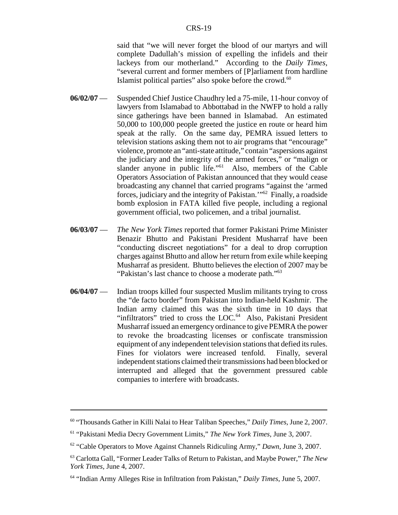said that "we will never forget the blood of our martyrs and will complete Dadullah's mission of expelling the infidels and their lackeys from our motherland." According to the *Daily Times*, "several current and former members of [P]arliament from hardline Islamist political parties" also spoke before the crowd.<sup>60</sup>

- **06/02/07** Suspended Chief Justice Chaudhry led a 75-mile, 11-hour convoy of lawyers from Islamabad to Abbottabad in the NWFP to hold a rally since gatherings have been banned in Islamabad. An estimated 50,000 to 100,000 people greeted the justice en route or heard him speak at the rally. On the same day, PEMRA issued letters to television stations asking them not to air programs that "encourage" violence, promote an "anti-state attitude," contain "aspersions against the judiciary and the integrity of the armed forces," or "malign or slander anyone in public life."<sup>61</sup> Also, members of the Cable Operators Association of Pakistan announced that they would cease broadcasting any channel that carried programs "against the 'armed forces, judiciary and the integrity of Pakistan.'"62 Finally, a roadside bomb explosion in FATA killed five people, including a regional government official, two policemen, and a tribal journalist.
- **06/03/07** *The New York Times* reported that former Pakistani Prime Minister Benazir Bhutto and Pakistani President Musharraf have been "conducting discreet negotiations" for a deal to drop corruption charges against Bhutto and allow her return from exile while keeping Musharraf as president. Bhutto believes the election of 2007 may be "Pakistan's last chance to choose a moderate path."<sup>63</sup>
- **06/04/07** Indian troops killed four suspected Muslim militants trying to cross the "de facto border" from Pakistan into Indian-held Kashmir. The Indian army claimed this was the sixth time in 10 days that "infiltrators" tried to cross the LOC.<sup>64</sup> Also, Pakistani President Musharraf issued an emergency ordinance to give PEMRA the power to revoke the broadcasting licenses or confiscate transmission equipment of any independent television stations that defied its rules. Fines for violators were increased tenfold. Finally, several independent stations claimed their transmissions had been blocked or interrupted and alleged that the government pressured cable companies to interfere with broadcasts.

<sup>60 &</sup>quot;Thousands Gather in Killi Nalai to Hear Taliban Speeches," *Daily Times*, June 2, 2007.

<sup>61 &</sup>quot;Pakistani Media Decry Government Limits," *The New York Times*, June 3, 2007.

<sup>62 &</sup>quot;Cable Operators to Move Against Channels Ridiculing Army," *Dawn*, June 3, 2007.

<sup>63</sup> Carlotta Gall, "Former Leader Talks of Return to Pakistan, and Maybe Power," *The New York Times*, June 4, 2007.

<sup>64 &</sup>quot;Indian Army Alleges Rise in Infiltration from Pakistan," *Daily Times*, June 5, 2007.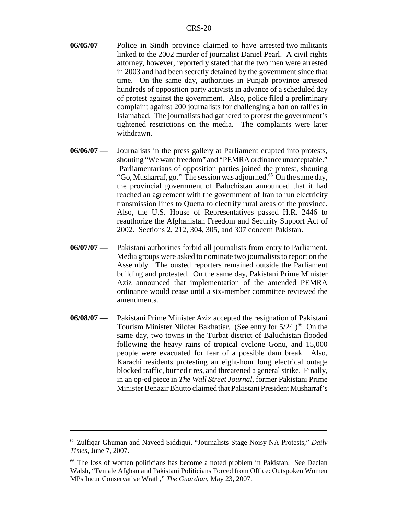- **06/05/07** Police in Sindh province claimed to have arrested two militants linked to the 2002 murder of journalist Daniel Pearl. A civil rights attorney, however, reportedly stated that the two men were arrested in 2003 and had been secretly detained by the government since that time. On the same day, authorities in Punjab province arrested hundreds of opposition party activists in advance of a scheduled day of protest against the government. Also, police filed a preliminary complaint against 200 journalists for challenging a ban on rallies in Islamabad. The journalists had gathered to protest the government's tightened restrictions on the media. The complaints were later withdrawn.
- **06/06/07** Journalists in the press gallery at Parliament erupted into protests, shouting "We want freedom" and "PEMRA ordinance unacceptable." Parliamentarians of opposition parties joined the protest, shouting "Go, Musharraf, go." The session was adjourned.<sup>65</sup> On the same day, the provincial government of Baluchistan announced that it had reached an agreement with the government of Iran to run electricity transmission lines to Quetta to electrify rural areas of the province. Also, the U.S. House of Representatives passed H.R. 2446 to reauthorize the Afghanistan Freedom and Security Support Act of 2002. Sections 2, 212, 304, 305, and 307 concern Pakistan.
- **06/07/07** Pakistani authorities forbid all journalists from entry to Parliament. Media groups were asked to nominate two journalists to report on the Assembly. The ousted reporters remained outside the Parliament building and protested. On the same day, Pakistani Prime Minister Aziz announced that implementation of the amended PEMRA ordinance would cease until a six-member committee reviewed the amendments.
- **06/08/07** Pakistani Prime Minister Aziz accepted the resignation of Pakistani Tourism Minister Nilofer Bakhatiar. (See entry for  $5/24$ .)<sup>66</sup> On the same day, two towns in the Turbat district of Baluchistan flooded following the heavy rains of tropical cyclone Gonu, and 15,000 people were evacuated for fear of a possible dam break. Also, Karachi residents protesting an eight-hour long electrical outage blocked traffic, burned tires, and threatened a general strike. Finally, in an op-ed piece in *The Wall Street Journal*, former Pakistani Prime Minister Benazir Bhutto claimed that Pakistani President Musharraf's

<sup>65</sup> Zulfiqar Ghuman and Naveed Siddiqui, "Journalists Stage Noisy NA Protests," *Daily Times*, June 7, 2007.

<sup>66</sup> The loss of women politicians has become a noted problem in Pakistan. See Declan Walsh, "Female Afghan and Pakistani Politicians Forced from Office: Outspoken Women MPs Incur Conservative Wrath," *The Guardian*, May 23, 2007.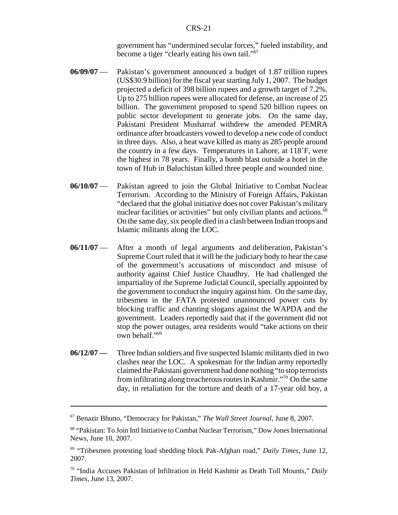government has "undermined secular forces," fueled instability, and become a tiger "clearly eating his own tail."<sup>67</sup>

- **06/09/07** Pakistan's government announced a budget of 1.87 trillion rupees (US\$30.9 billion) for the fiscal year starting July 1, 2007. The budget projected a deficit of 398 billion rupees and a growth target of 7.2%. Up to 275 billion rupees were allocated for defense, an increase of 25 billion. The government proposed to spend 520 billion rupees on public sector development to generate jobs. On the same day, Pakistani President Musharraf withdrew the amended PEMRA ordinance after broadcasters vowed to develop a new code of conduct in three days. Also, a heat wave killed as many as 285 people around the country in a few days. Temperatures in Lahore, at  $118^\circ$ F, were the highest in 78 years. Finally, a bomb blast outside a hotel in the town of Hub in Baluchistan killed three people and wounded nine.
- **06/10/07** Pakistan agreed to join the Global Initiative to Combat Nuclear Terrorism. According to the Ministry of Foreign Affairs, Pakistan "declared that the global initiative does not cover Pakistan's military nuclear facilities or activities" but only civilian plants and actions.<sup>68</sup> On the same day, six people died in a clash between Indian troops and Islamic militants along the LOC.
- **06/11/07** After a month of legal arguments and deliberation, Pakistan's Supreme Court ruled that it will be the judiciary body to hear the case of the government's accusations of misconduct and misuse of authority against Chief Justice Chaudhry. He had challenged the impartiality of the Supreme Judicial Council, specially appointed by the government to conduct the inquiry against him. On the same day, tribesmen in the FATA protested unannounced power cuts by blocking traffic and chanting slogans against the WAPDA and the government. Leaders reportedly said that if the government did not stop the power outages, area residents would "take actions on their own behalf."69
- **06/12/07** Three Indian soldiers and five suspected Islamic militants died in two clashes near the LOC. A spokesman for the Indian army reportedly claimed the Pakistani government had done nothing "to stop terrorists from infiltrating along treacherous routes in Kashmir."70 On the same day, in retaliation for the torture and death of a 17-year old boy, a

<sup>67</sup> Benazir Bhutto, "Democracy for Pakistan," *The Wall Street Journal*, June 8, 2007.

<sup>68 &</sup>quot;Pakistan: To Join Intl Initiative to Combat Nuclear Terrorism," Dow Jones International News, June 10, 2007.

<sup>69 &</sup>quot;Tribesmen protesting load shedding block Pak-Afghan road," *Daily Times*, June 12, 2007.

<sup>70 &</sup>quot;India Accuses Pakistan of Infiltration in Held Kashmir as Death Toll Mounts," *Daily Times*, June 13, 2007.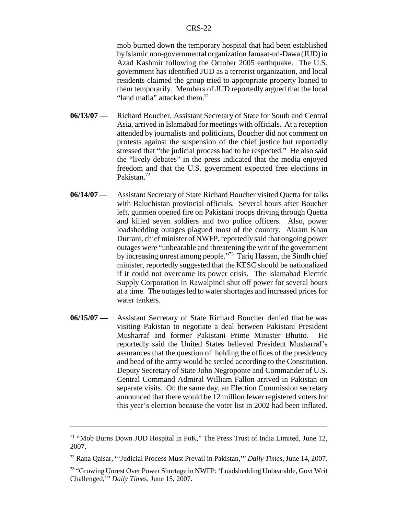mob burned down the temporary hospital that had been established by Islamic non-governmental organization Jamaat-ud-Dawa (JUD) in Azad Kashmir following the October 2005 earthquake. The U.S. government has identified JUD as a terrorist organization, and local residents claimed the group tried to appropriate property loaned to them temporarily. Members of JUD reportedly argued that the local "land mafia" attacked them. $71$ 

- **06/13/07** Richard Boucher, Assistant Secretary of State for South and Central Asia, arrived in Islamabad for meetings with officials. At a reception attended by journalists and politicians, Boucher did not comment on protests against the suspension of the chief justice but reportedly stressed that "the judicial process had to be respected." He also said the "lively debates" in the press indicated that the media enjoyed freedom and that the U.S. government expected free elections in Pakistan.72
- **06/14/07** Assistant Secretary of State Richard Boucher visited Quetta for talks with Baluchistan provincial officials. Several hours after Boucher left, gunmen opened fire on Pakistani troops driving through Quetta and killed seven soldiers and two police officers. Also, power loadshedding outages plagued most of the country. Akram Khan Durrani, chief minister of NWFP, reportedly said that ongoing power outages were "unbearable and threatening the writ of the government by increasing unrest among people."73 Tariq Hassan, the Sindh chief minister, reportedly suggested that the KESC should be nationalized if it could not overcome its power crisis. The Islamabad Electric Supply Corporation in Rawalpindi shut off power for several hours at a time. The outages led to water shortages and increased prices for water tankers.
- **06/15/07** Assistant Secretary of State Richard Boucher denied that he was visiting Pakistan to negotiate a deal between Pakistani President Musharraf and former Pakistani Prime Minister Bhutto. He reportedly said the United States believed President Musharraf's assurances that the question of holding the offices of the presidency and head of the army would be settled according to the Constitution. Deputy Secretary of State John Negroponte and Commander of U.S. Central Command Admiral William Fallon arrived in Pakistan on separate visits. On the same day, an Election Commission secretary announced that there would be 12 million fewer registered voters for this year's election because the voter list in 2002 had been inflated.

 $71$  "Mob Burns Down JUD Hospital in PoK," The Press Trust of India Limited, June 12, 2007.

<sup>72</sup> Rana Qaisar, "'Judicial Process Must Prevail in Pakistan,'" *Daily Times*, June 14, 2007.

<sup>73 &</sup>quot;Growing Unrest Over Power Shortage in NWFP: 'Loadshedding Unbearable, Govt Writ Challenged,'" *Daily Times*, June 15, 2007.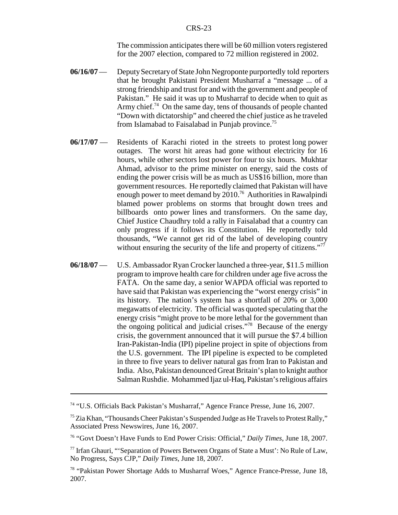The commission anticipates there will be 60 million voters registered for the 2007 election, compared to 72 million registered in 2002.

- **06/16/07** Deputy Secretary of State John Negroponte purportedly told reporters that he brought Pakistani President Musharraf a "message ... of a strong friendship and trust for and with the government and people of Pakistan." He said it was up to Musharraf to decide when to quit as Army chief.<sup>74</sup> On the same day, tens of thousands of people chanted "Down with dictatorship" and cheered the chief justice as he traveled from Islamabad to Faisalabad in Punjab province.75
- **06/17/07** Residents of Karachi rioted in the streets to protest long power outages. The worst hit areas had gone without electricity for 16 hours, while other sectors lost power for four to six hours. Mukhtar Ahmad, advisor to the prime minister on energy, said the costs of ending the power crisis will be as much as US\$16 billion, more than government resources. He reportedly claimed that Pakistan will have enough power to meet demand by 2010.76 Authorities in Rawalpindi blamed power problems on storms that brought down trees and billboards onto power lines and transformers. On the same day, Chief Justice Chaudhry told a rally in Faisalabad that a country can only progress if it follows its Constitution. He reportedly told thousands, "We cannot get rid of the label of developing country without ensuring the security of the life and property of citizens."<sup>77</sup>
- **06/18/07** U.S. Ambassador Ryan Crocker launched a three-year, \$11.5 million program to improve health care for children under age five across the FATA. On the same day, a senior WAPDA official was reported to have said that Pakistan was experiencing the "worst energy crisis" in its history. The nation's system has a shortfall of 20% or 3,000 megawatts of electricity. The official was quoted speculating that the energy crisis "might prove to be more lethal for the government than the ongoing political and judicial crises."78 Because of the energy crisis, the government announced that it will pursue the \$7.4 billion Iran-Pakistan-India (IPI) pipeline project in spite of objections from the U.S. government. The IPI pipeline is expected to be completed in three to five years to deliver natural gas from Iran to Pakistan and India. Also, Pakistan denounced Great Britain's plan to knight author Salman Rushdie. Mohammed Ijaz ul-Haq, Pakistan's religious affairs

<sup>74 &</sup>quot;U.S. Officials Back Pakistan's Musharraf," Agence France Presse, June 16, 2007.

 $75$  Zia Khan, "Thousands Cheer Pakistan's Suspended Judge as He Travels to Protest Rally," Associated Press Newswires, June 16, 2007.

<sup>76 &</sup>quot;Govt Doesn't Have Funds to End Power Crisis: Official," *Daily Times*, June 18, 2007.

<sup>77</sup> Irfan Ghauri, "'Separation of Powers Between Organs of State a Must': No Rule of Law, No Progress, Says CJP," *Daily Times*, June 18, 2007.

<sup>78 &</sup>quot;Pakistan Power Shortage Adds to Musharraf Woes," Agence France-Presse, June 18, 2007.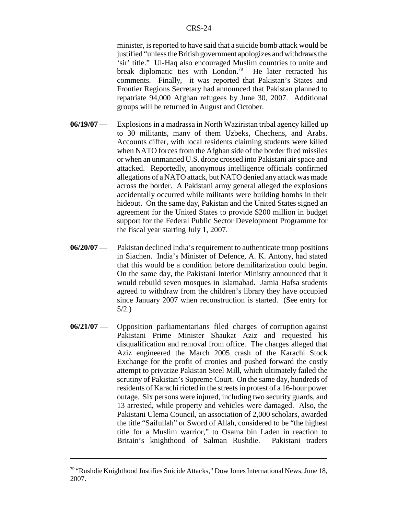minister, is reported to have said that a suicide bomb attack would be justified "unless the British government apologizes and withdraws the 'sir' title." Ul-Haq also encouraged Muslim countries to unite and break diplomatic ties with London.<sup>79</sup> He later retracted his comments. Finally, it was reported that Pakistan's States and Frontier Regions Secretary had announced that Pakistan planned to repatriate 94,000 Afghan refugees by June 30, 2007. Additional groups will be returned in August and October.

- **06/19/07** Explosions in a madrassa in North Waziristan tribal agency killed up to 30 militants, many of them Uzbeks, Chechens, and Arabs. Accounts differ, with local residents claiming students were killed when NATO forces from the Afghan side of the border fired missiles or when an unmanned U.S. drone crossed into Pakistani air space and attacked. Reportedly, anonymous intelligence officials confirmed allegations of a NATO attack, but NATO denied any attack was made across the border. A Pakistani army general alleged the explosions accidentally occurred while militants were building bombs in their hideout. On the same day, Pakistan and the United States signed an agreement for the United States to provide \$200 million in budget support for the Federal Public Sector Development Programme for the fiscal year starting July 1, 2007.
- **06/20/07** Pakistan declined India's requirement to authenticate troop positions in Siachen. India's Minister of Defence, A. K. Antony, had stated that this would be a condition before demilitarization could begin. On the same day, the Pakistani Interior Ministry announced that it would rebuild seven mosques in Islamabad. Jamia Hafsa students agreed to withdraw from the children's library they have occupied since January 2007 when reconstruction is started. (See entry for 5/2.)
- **06/21/07** Opposition parliamentarians filed charges of corruption against Pakistani Prime Minister Shaukat Aziz and requested his disqualification and removal from office. The charges alleged that Aziz engineered the March 2005 crash of the Karachi Stock Exchange for the profit of cronies and pushed forward the costly attempt to privatize Pakistan Steel Mill, which ultimately failed the scrutiny of Pakistan's Supreme Court. On the same day, hundreds of residents of Karachi rioted in the streets in protest of a 16-hour power outage. Six persons were injured, including two security guards, and 13 arrested, while property and vehicles were damaged. Also, the Pakistani Ulema Council, an association of 2,000 scholars, awarded the title "Saifullah" or Sword of Allah, considered to be "the highest title for a Muslim warrior," to Osama bin Laden in reaction to Britain's knighthood of Salman Rushdie. Pakistani traders

<sup>79 &</sup>quot;Rushdie Knighthood Justifies Suicide Attacks," Dow Jones International News, June 18, 2007.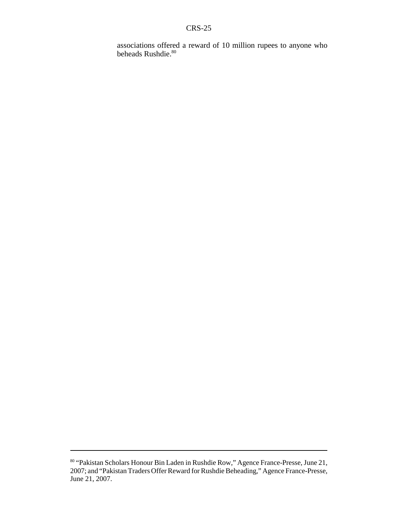associations offered a reward of 10 million rupees to anyone who beheads Rushdie.<sup>80</sup>

<sup>80 &</sup>quot;Pakistan Scholars Honour Bin Laden in Rushdie Row," Agence France-Presse, June 21, 2007; and "Pakistan Traders Offer Reward for Rushdie Beheading," Agence France-Presse, June 21, 2007.